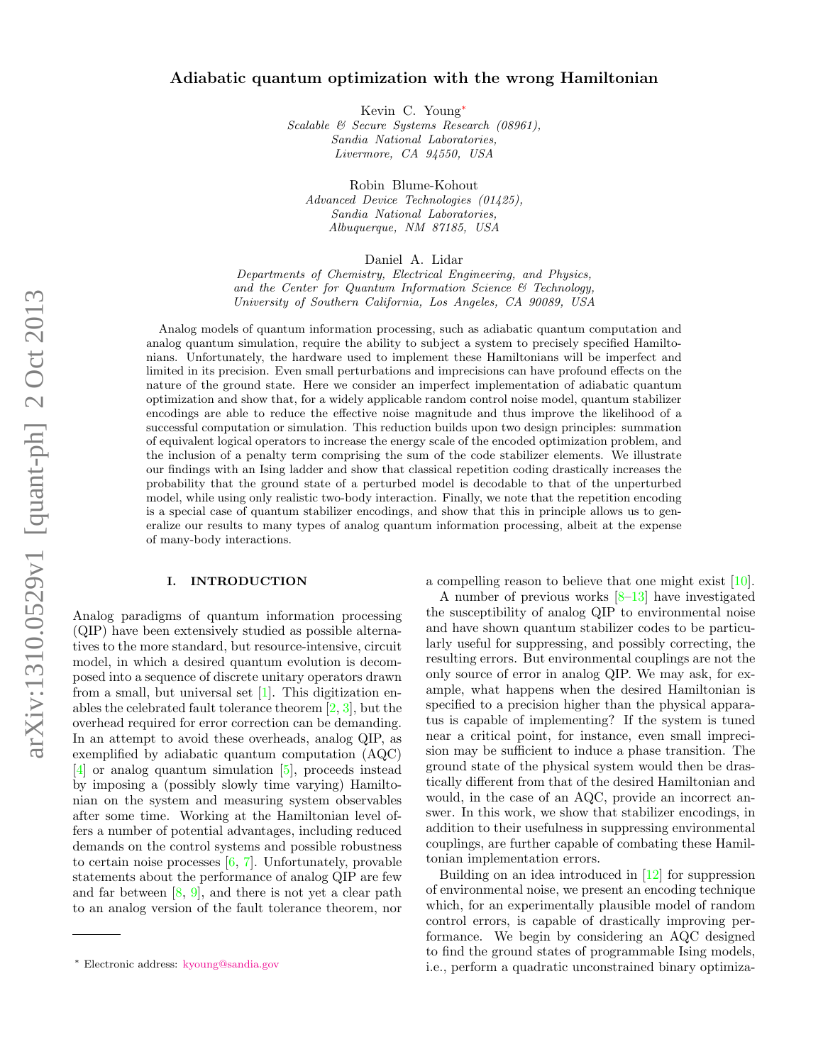# arXiv:1310.0529v1 [quant-ph] 2 Oct 2013 arXiv:1310.0529v1 [quant-ph] 2 Oct 2013

# Adiabatic quantum optimization with the wrong Hamiltonian

Kevin C. Young[∗](#page-0-0) Scalable & Secure Systems Research (08961), Sandia National Laboratories, Livermore, CA 94550, USA

Robin Blume-Kohout Advanced Device Technologies (01425), Sandia National Laboratories, Albuquerque, NM 87185, USA

Daniel A. Lidar

Departments of Chemistry, Electrical Engineering, and Physics, and the Center for Quantum Information Science  $\mathcal{B}$  Technology, University of Southern California, Los Angeles, CA 90089, USA

Analog models of quantum information processing, such as adiabatic quantum computation and analog quantum simulation, require the ability to subject a system to precisely specified Hamiltonians. Unfortunately, the hardware used to implement these Hamiltonians will be imperfect and limited in its precision. Even small perturbations and imprecisions can have profound effects on the nature of the ground state. Here we consider an imperfect implementation of adiabatic quantum optimization and show that, for a widely applicable random control noise model, quantum stabilizer encodings are able to reduce the effective noise magnitude and thus improve the likelihood of a successful computation or simulation. This reduction builds upon two design principles: summation of equivalent logical operators to increase the energy scale of the encoded optimization problem, and the inclusion of a penalty term comprising the sum of the code stabilizer elements. We illustrate our findings with an Ising ladder and show that classical repetition coding drastically increases the probability that the ground state of a perturbed model is decodable to that of the unperturbed model, while using only realistic two-body interaction. Finally, we note that the repetition encoding is a special case of quantum stabilizer encodings, and show that this in principle allows us to generalize our results to many types of analog quantum information processing, albeit at the expense of many-body interactions.

### I. INTRODUCTION

Analog paradigms of quantum information processing (QIP) have been extensively studied as possible alternatives to the more standard, but resource-intensive, circuit model, in which a desired quantum evolution is decomposed into a sequence of discrete unitary operators drawn from a small, but universal set  $[1]$ . This digitization enables the celebrated fault tolerance theorem  $[2, 3]$  $[2, 3]$  $[2, 3]$ , but the overhead required for error correction can be demanding. In an attempt to avoid these overheads, analog QIP, as exemplified by adiabatic quantum computation (AQC) [\[4\]](#page-6-3) or analog quantum simulation [\[5\]](#page-6-4), proceeds instead by imposing a (possibly slowly time varying) Hamiltonian on the system and measuring system observables after some time. Working at the Hamiltonian level offers a number of potential advantages, including reduced demands on the control systems and possible robustness to certain noise processes  $[6, 7]$  $[6, 7]$  $[6, 7]$ . Unfortunately, provable statements about the performance of analog QIP are few and far between  $[8, 9]$  $[8, 9]$  $[8, 9]$ , and there is not yet a clear path to an analog version of the fault tolerance theorem, nor a compelling reason to believe that one might exist [\[10\]](#page-6-9).

A number of previous works  $[8-13]$  $[8-13]$  have investigated the susceptibility of analog QIP to environmental noise and have shown quantum stabilizer codes to be particularly useful for suppressing, and possibly correcting, the resulting errors. But environmental couplings are not the only source of error in analog QIP. We may ask, for example, what happens when the desired Hamiltonian is specified to a precision higher than the physical apparatus is capable of implementing? If the system is tuned near a critical point, for instance, even small imprecision may be sufficient to induce a phase transition. The ground state of the physical system would then be drastically different from that of the desired Hamiltonian and would, in the case of an AQC, provide an incorrect answer. In this work, we show that stabilizer encodings, in addition to their usefulness in suppressing environmental couplings, are further capable of combating these Hamiltonian implementation errors.

Building on an idea introduced in [\[12\]](#page-6-11) for suppression of environmental noise, we present an encoding technique which, for an experimentally plausible model of random control errors, is capable of drastically improving performance. We begin by considering an AQC designed to find the ground states of programmable Ising models, i.e., perform a quadratic unconstrained binary optimiza-

<span id="page-0-0"></span><sup>∗</sup> Electronic address: [kyoung@sandia.gov](mailto:kyoung@sandia.gov)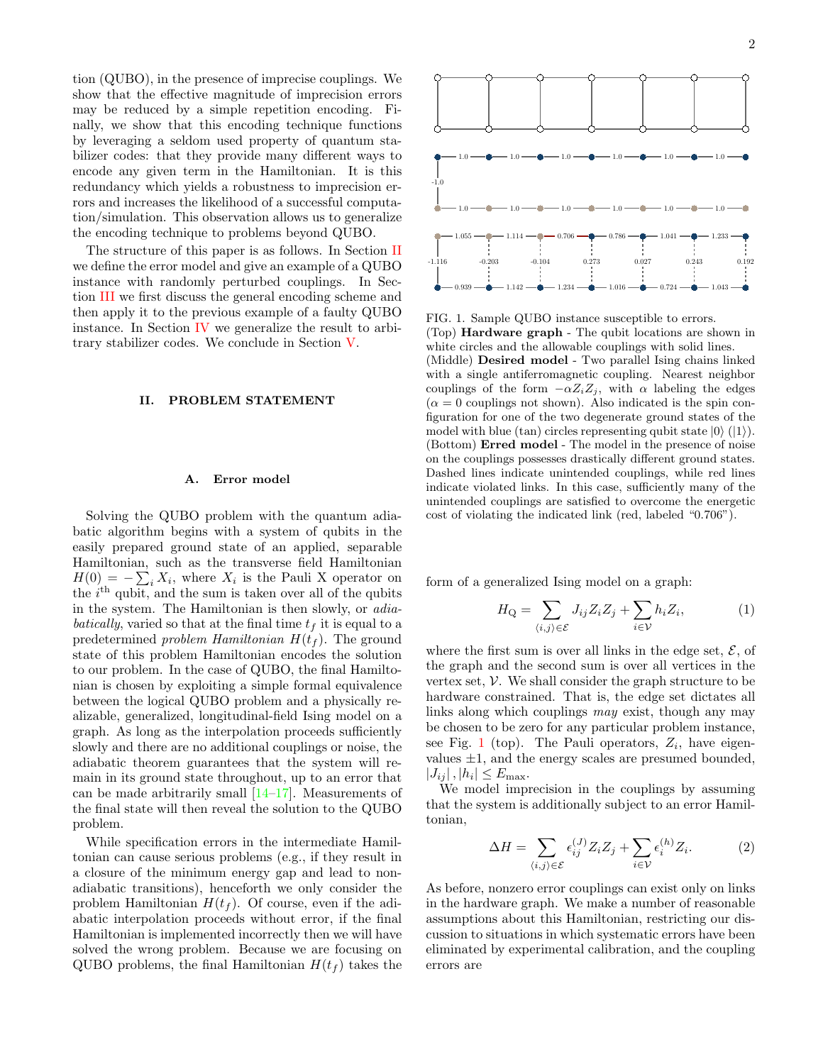tion (QUBO), in the presence of imprecise couplings. We show that the effective magnitude of imprecision errors may be reduced by a simple repetition encoding. Finally, we show that this encoding technique functions by leveraging a seldom used property of quantum stabilizer codes: that they provide many different ways to encode any given term in the Hamiltonian. It is this redundancy which yields a robustness to imprecision errors and increases the likelihood of a successful computation/simulation. This observation allows us to generalize the encoding technique to problems beyond QUBO.

The structure of this paper is as follows. In Section [II](#page-1-0) we define the error model and give an example of a QUBO instance with randomly perturbed couplings. In Section [III](#page-2-0) we first discuss the general encoding scheme and then apply it to the previous example of a faulty QUBO instance. In Section [IV](#page-3-0) we generalize the result to arbitrary stabilizer codes. We conclude in Section [V.](#page-5-0)

# <span id="page-1-0"></span>II. PROBLEM STATEMENT

### A. Error model

Solving the QUBO problem with the quantum adiabatic algorithm begins with a system of qubits in the easily prepared ground state of an applied, separable Hamiltonian, such as the transverse field Hamiltonian  $H(0) = -\sum_i X_i$ , where  $X_i$  is the Pauli X operator on the  $i<sup>th</sup>$  qubit, and the sum is taken over all of the qubits in the system. The Hamiltonian is then slowly, or adia*batically*, varied so that at the final time  $t_f$  it is equal to a predetermined problem Hamiltonian  $H(t_f)$ . The ground state of this problem Hamiltonian encodes the solution to our problem. In the case of QUBO, the final Hamiltonian is chosen by exploiting a simple formal equivalence between the logical QUBO problem and a physically realizable, generalized, longitudinal-field Ising model on a graph. As long as the interpolation proceeds sufficiently slowly and there are no additional couplings or noise, the adiabatic theorem guarantees that the system will remain in its ground state throughout, up to an error that can be made arbitrarily small  $[14-17]$  $[14-17]$ . Measurements of the final state will then reveal the solution to the QUBO problem.

While specification errors in the intermediate Hamiltonian can cause serious problems (e.g., if they result in a closure of the minimum energy gap and lead to nonadiabatic transitions), henceforth we only consider the problem Hamiltonian  $H(t_f)$ . Of course, even if the adiabatic interpolation proceeds without error, if the final Hamiltonian is implemented incorrectly then we will have solved the wrong problem. Because we are focusing on QUBO problems, the final Hamiltonian  $H(t_f)$  takes the



<span id="page-1-1"></span>FIG. 1. Sample QUBO instance susceptible to errors. (Top) Hardware graph - The qubit locations are shown in white circles and the allowable couplings with solid lines.

(Middle) Desired model - Two parallel Ising chains linked with a single antiferromagnetic coupling. Nearest neighbor couplings of the form  $-\alpha Z_i Z_j$ , with  $\alpha$  labeling the edges  $(\alpha = 0$  couplings not shown). Also indicated is the spin configuration for one of the two degenerate ground states of the model with blue (tan) circles representing qubit state  $|0\rangle$  ( $|1\rangle$ ). (Bottom) Erred model - The model in the presence of noise on the couplings possesses drastically different ground states. Dashed lines indicate unintended couplings, while red lines indicate violated links. In this case, sufficiently many of the unintended couplings are satisfied to overcome the energetic cost of violating the indicated link (red, labeled "0.706").

form of a generalized Ising model on a graph:

$$
H_{\mathcal{Q}} = \sum_{\langle i,j \rangle \in \mathcal{E}} J_{ij} Z_i Z_j + \sum_{i \in \mathcal{V}} h_i Z_i, \tag{1}
$$

where the first sum is over all links in the edge set,  $\mathcal{E}$ , of the graph and the second sum is over all vertices in the vertex set,  $\mathcal V$ . We shall consider the graph structure to be hardware constrained. That is, the edge set dictates all links along which couplings may exist, though any may be chosen to be zero for any particular problem instance, see Fig. [1](#page-1-1) (top). The Pauli operators,  $Z_i$ , have eigenvalues  $\pm 1$ , and the energy scales are presumed bounded,  $|J_{ij}|, |h_i| \le E_{\text{max}}.$ 

We model imprecision in the couplings by assuming that the system is additionally subject to an error Hamiltonian,

$$
\Delta H = \sum_{\langle i,j \rangle \in \mathcal{E}} \epsilon_{ij}^{(J)} Z_i Z_j + \sum_{i \in \mathcal{V}} \epsilon_i^{(h)} Z_i.
$$
 (2)

As before, nonzero error couplings can exist only on links in the hardware graph. We make a number of reasonable assumptions about this Hamiltonian, restricting our discussion to situations in which systematic errors have been eliminated by experimental calibration, and the coupling errors are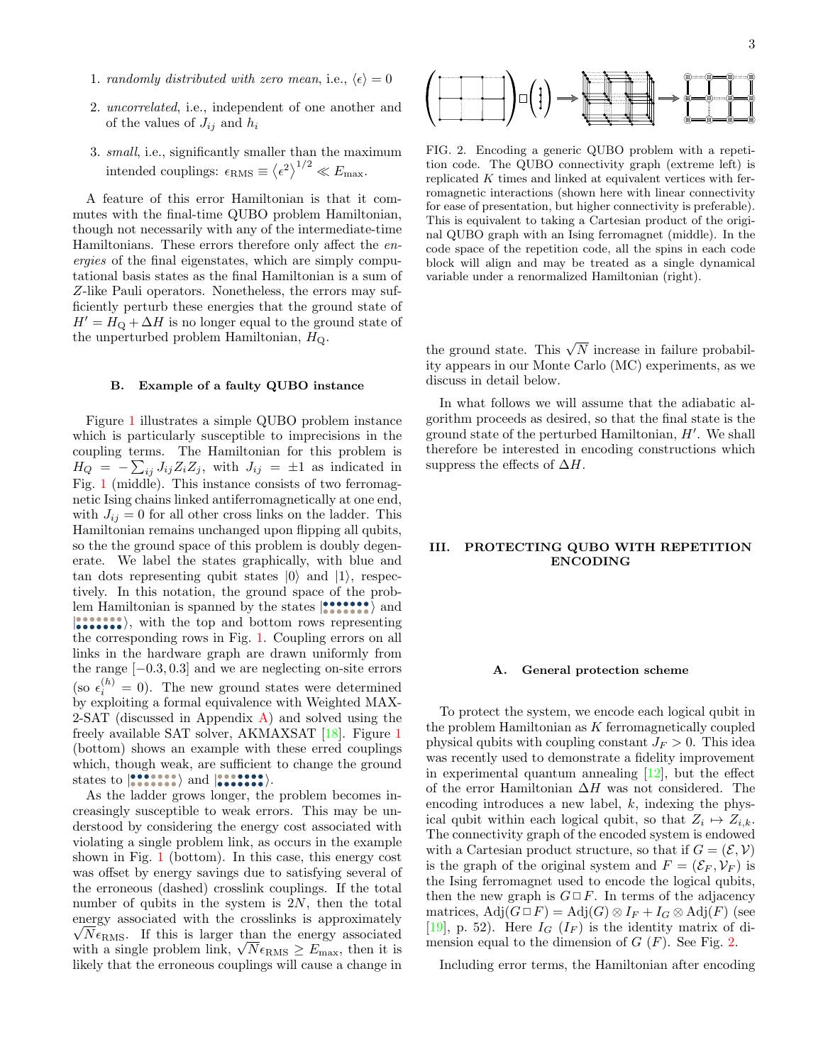- 1. randomly distributed with zero mean, i.e.,  $\langle \epsilon \rangle = 0$
- 2. uncorrelated, i.e., independent of one another and of the values of  $J_{ij}$  and  $h_i$
- 3. small, i.e., significantly smaller than the maximum intended couplings:  $\epsilon_{\text{RMS}} \equiv \langle \epsilon^2 \rangle^{1/2} \ll E_{\text{max}}$ .

A feature of this error Hamiltonian is that it commutes with the final-time QUBO problem Hamiltonian, though not necessarily with any of the intermediate-time Hamiltonians. These errors therefore only affect the energies of the final eigenstates, which are simply computational basis states as the final Hamiltonian is a sum of Z-like Pauli operators. Nonetheless, the errors may sufficiently perturb these energies that the ground state of  $H' = H<sub>Q</sub> + \Delta H$  is no longer equal to the ground state of the unperturbed problem Hamiltonian,  $H_Q$ .

### B. Example of a faulty QUBO instance

Figure [1](#page-1-1) illustrates a simple QUBO problem instance which is particularly susceptible to imprecisions in the coupling terms. The Hamiltonian for this problem is  $H_Q = -\sum_{ij} J_{ij} Z_i Z_j$ , with  $J_{ij} = \pm 1$  as indicated in Fig. [1](#page-1-1) (middle). This instance consists of two ferromagnetic Ising chains linked antiferromagnetically at one end, with  $J_{ij} = 0$  for all other cross links on the ladder. This Hamiltonian remains unchanged upon flipping all qubits, so the the ground space of this problem is doubly degenerate. We label the states graphically, with blue and tan dots representing qubit states  $|0\rangle$  and  $|1\rangle$ , respectively. In this notation, the ground space of the problem Hamiltonian is spanned by the states  $|\bullet \bullet \bullet \bullet \bullet \bullet \rangle$  and  $\langle \bullet \bullet \bullet \bullet \bullet \bullet \bullet \bullet \rangle$ , with the top and bottom rows representing the corresponding rows in Fig. [1.](#page-1-1) Coupling errors on all links in the hardware graph are drawn uniformly from the range  $[-0.3, 0.3]$  and we are neglecting on-site errors (so  $\epsilon_i^{(h)} = 0$ ). The new ground states were determined by exploiting a formal equivalence with Weighted MAX-2-SAT (discussed in Appendix [A\)](#page-6-14) and solved using the freely available SAT solver, AKMAXSAT [\[18\]](#page-6-15). Figure [1](#page-1-1) (bottom) shows an example with these erred couplings which, though weak, are sufficient to change the ground states to | i and | i.

As the ladder grows longer, the problem becomes increasingly susceptible to weak errors. This may be understood by considering the energy cost associated with violating a single problem link, as occurs in the example shown in Fig. [1](#page-1-1) (bottom). In this case, this energy cost was offset by energy savings due to satisfying several of the erroneous (dashed) crosslink couplings. If the total number of qubits in the system is  $2N$ , then the total energy associated with the crosslinks is approximately  $\sqrt{N} \epsilon_{\rm RMS}$ . If this is larger than the energy associated  $\sqrt{N} \epsilon_{\text{RMS}}$ . It this is larger than the energy associated<br>with a single problem link,  $\sqrt{N} \epsilon_{\text{RMS}} \ge E_{\text{max}}$ , then it is likely that the erroneous couplings will cause a change in



<span id="page-2-1"></span>FIG. 2. Encoding a generic QUBO problem with a repetition code. The QUBO connectivity graph (extreme left) is replicated  $K$  times and linked at equivalent vertices with ferromagnetic interactions (shown here with linear connectivity for ease of presentation, but higher connectivity is preferable). This is equivalent to taking a Cartesian product of the original QUBO graph with an Ising ferromagnet (middle). In the code space of the repetition code, all the spins in each code block will align and may be treated as a single dynamical variable under a renormalized Hamiltonian (right).

the ground state. This  $\sqrt{N}$  increase in failure probability appears in our Monte Carlo (MC) experiments, as we discuss in detail below.

In what follows we will assume that the adiabatic algorithm proceeds as desired, so that the final state is the ground state of the perturbed Hamiltonian,  $H'$ . We shall therefore be interested in encoding constructions which suppress the effects of  $\Delta H$ .

# <span id="page-2-0"></span>III. PROTECTING QUBO WITH REPETITION ENCODING

# A. General protection scheme

To protect the system, we encode each logical qubit in the problem Hamiltonian as K ferromagnetically coupled physical qubits with coupling constant  $J_F > 0$ . This idea was recently used to demonstrate a fidelity improvement in experimental quantum annealing  $[12]$ , but the effect of the error Hamiltonian  $\Delta H$  was not considered. The encoding introduces a new label,  $k$ , indexing the physical qubit within each logical qubit, so that  $Z_i \mapsto Z_{i,k}$ . The connectivity graph of the encoded system is endowed with a Cartesian product structure, so that if  $G = (\mathcal{E}, \mathcal{V})$ is the graph of the original system and  $F = (\mathcal{E}_F, \mathcal{V}_F)$  is the Ising ferromagnet used to encode the logical qubits, then the new graph is  $G \square F$ . In terms of the adjacency matrices,  $\text{Adj}(G \square F) = \text{Adj}(G) \otimes I_F + I_G \otimes \text{Adj}(F)$  (see [\[19\]](#page-6-16), p. 52). Here  $I_G$  ( $I_F$ ) is the identity matrix of dimension equal to the dimension of  $G(F)$ . See Fig. [2.](#page-2-1)

Including error terms, the Hamiltonian after encoding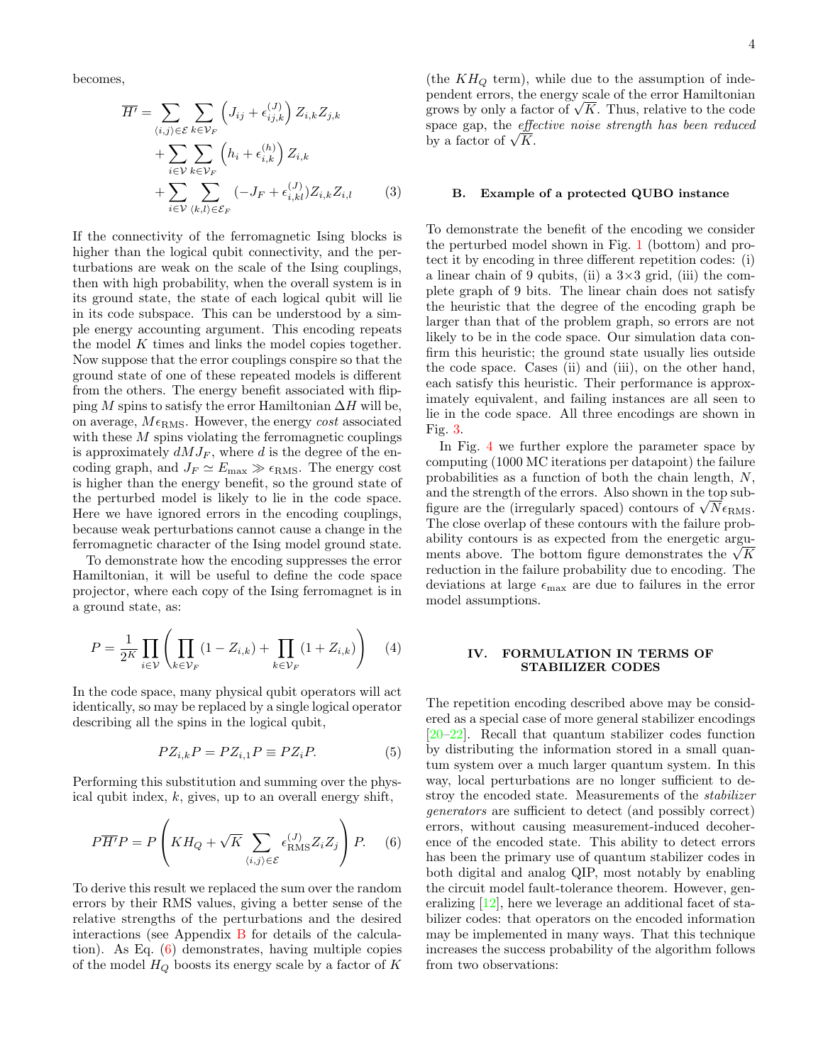becomes,

$$
\overline{H'} = \sum_{\langle i,j \rangle \in \mathcal{E}} \sum_{k \in \mathcal{V}_F} \left( J_{ij} + \epsilon_{ij,k}^{(J)} \right) Z_{i,k} Z_{j,k} \n+ \sum_{i \in \mathcal{V}} \sum_{k \in \mathcal{V}_F} \left( h_i + \epsilon_{i,k}^{(h)} \right) Z_{i,k} \n+ \sum_{i \in \mathcal{V}} \sum_{\langle k,l \rangle \in \mathcal{E}_F} (-J_F + \epsilon_{i,kl}^{(J)}) Z_{i,k} Z_{i,l} \tag{3}
$$

If the connectivity of the ferromagnetic Ising blocks is higher than the logical qubit connectivity, and the perturbations are weak on the scale of the Ising couplings, then with high probability, when the overall system is in its ground state, the state of each logical qubit will lie in its code subspace. This can be understood by a simple energy accounting argument. This encoding repeats the model  $K$  times and links the model copies together. Now suppose that the error couplings conspire so that the ground state of one of these repeated models is different from the others. The energy benefit associated with flipping M spins to satisfy the error Hamiltonian  $\Delta H$  will be, on average,  $M\epsilon_{\rm RMS}.$  However, the energy  $cost$  associated with these  $M$  spins violating the ferromagnetic couplings is approximately  $dMJ_F$ , where d is the degree of the encoding graph, and  $J_F \simeq E_{\text{max}} \gg \epsilon_{\text{RMS}}$ . The energy cost is higher than the energy benefit, so the ground state of the perturbed model is likely to lie in the code space. Here we have ignored errors in the encoding couplings, because weak perturbations cannot cause a change in the ferromagnetic character of the Ising model ground state.

To demonstrate how the encoding suppresses the error Hamiltonian, it will be useful to define the code space projector, where each copy of the Ising ferromagnet is in a ground state, as:

$$
P = \frac{1}{2^K} \prod_{i \in \mathcal{V}} \left( \prod_{k \in \mathcal{V}_F} (1 - Z_{i,k}) + \prod_{k \in \mathcal{V}_F} (1 + Z_{i,k}) \right) \tag{4}
$$

In the code space, many physical qubit operators will act identically, so may be replaced by a single logical operator describing all the spins in the logical qubit,

<span id="page-3-2"></span>
$$
PZ_{i,k}P = PZ_{i,1}P \equiv PZ_iP.
$$
 (5)

Performing this substitution and summing over the physical qubit index,  $k$ , gives, up to an overall energy shift,

$$
P\overline{H'}P = P\left(KH_Q + \sqrt{K} \sum_{\langle i,j\rangle \in \mathcal{E}} \epsilon_{\text{RMS}}^{(J)} Z_i Z_j\right) P. \tag{6}
$$

To derive this result we replaced the sum over the random errors by their RMS values, giving a better sense of the relative strengths of the perturbations and the desired interactions (see Appendix [B](#page-6-17) for details of the calculation). As Eq. [\(6\)](#page-3-1) demonstrates, having multiple copies of the model  $H_Q$  boosts its energy scale by a factor of K

(the  $KH_Q$  term), while due to the assumption of independent errors, the energy scale of the error Hamiltonian pendent errors, the energy scale of the error Hamiltonian<br>grows by only a factor of  $\sqrt{K}$ . Thus, relative to the code space gap, the effective noise strength has been reduced space gap, the *effe*<br>by a factor of  $\sqrt{K}$ .

# B. Example of a protected QUBO instance

To demonstrate the benefit of the encoding we consider the perturbed model shown in Fig. [1](#page-1-1) (bottom) and protect it by encoding in three different repetition codes: (i) a linear chain of 9 qubits, (ii) a  $3\times3$  grid, (iii) the complete graph of 9 bits. The linear chain does not satisfy the heuristic that the degree of the encoding graph be larger than that of the problem graph, so errors are not likely to be in the code space. Our simulation data confirm this heuristic; the ground state usually lies outside the code space. Cases (ii) and (iii), on the other hand, each satisfy this heuristic. Their performance is approximately equivalent, and failing instances are all seen to lie in the code space. All three encodings are shown in Fig. [3.](#page-4-0)

In Fig. [4](#page-4-1) we further explore the parameter space by computing (1000 MC iterations per datapoint) the failure probabilities as a function of both the chain length, N, and the strength of the errors. Also shown in the top suband the strength of the errors. Also shown in the top subfigure are the (irregularly spaced) contours of  $\sqrt{N} \epsilon_{\rm RMS}$ . The close overlap of these contours with the failure probability contours is as expected from the energetic arguability contours is as expected from the energetic arguments above. The bottom figure demonstrates the  $\sqrt{K}$ reduction in the failure probability due to encoding. The deviations at large  $\epsilon_{\text{max}}$  are due to failures in the error model assumptions.

# <span id="page-3-0"></span>IV. FORMULATION IN TERMS OF STABILIZER CODES

<span id="page-3-1"></span>The repetition encoding described above may be considered as a special case of more general stabilizer encodings [\[20–](#page-6-18)[22\]](#page-6-19). Recall that quantum stabilizer codes function by distributing the information stored in a small quantum system over a much larger quantum system. In this way, local perturbations are no longer sufficient to destroy the encoded state. Measurements of the stabilizer generators are sufficient to detect (and possibly correct) errors, without causing measurement-induced decoherence of the encoded state. This ability to detect errors has been the primary use of quantum stabilizer codes in both digital and analog QIP, most notably by enabling the circuit model fault-tolerance theorem. However, generalizing [\[12\]](#page-6-11), here we leverage an additional facet of stabilizer codes: that operators on the encoded information may be implemented in many ways. That this technique increases the success probability of the algorithm follows from two observations: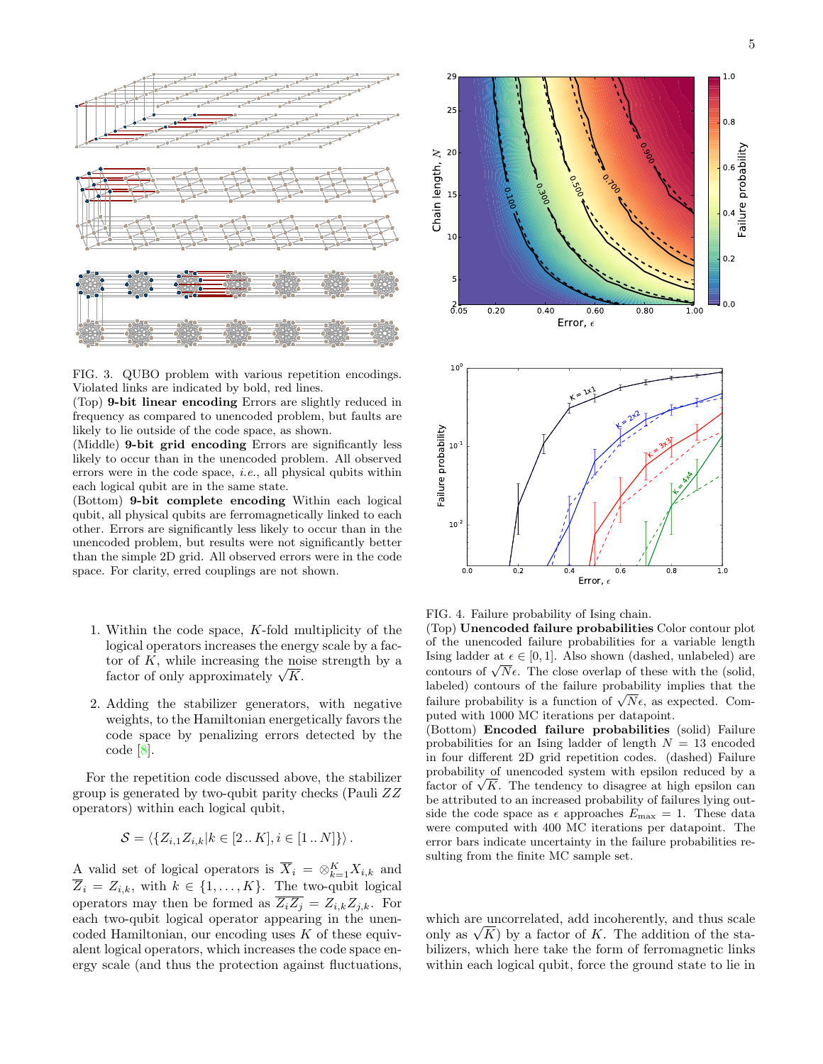

<span id="page-4-0"></span>FIG. 3. QUBO problem with various repetition encodings. Violated links are indicated by bold, red lines.

(Top) 9-bit linear encoding Errors are slightly reduced in frequency as compared to unencoded problem, but faults are likely to lie outside of the code space, as shown.

(Middle) 9-bit grid encoding Errors are significantly less likely to occur than in the unencoded problem. All observed errors were in the code space, i.e., all physical qubits within each logical qubit are in the same state.

(Bottom) 9-bit complete encoding Within each logical qubit, all physical qubits are ferromagnetically linked to each other. Errors are significantly less likely to occur than in the unencoded problem, but results were not significantly better than the simple 2D grid. All observed errors were in the code space. For clarity, erred couplings are not shown.

- 1. Within the code space, K-fold multiplicity of the logical operators increases the energy scale by a factor of  $K$ , while increasing the noise strength by a tor of K, while increasing the noi<br>factor of only approximately  $\sqrt{K}$ .
- 2. Adding the stabilizer generators, with negative weights, to the Hamiltonian energetically favors the code space by penalizing errors detected by the code [\[8\]](#page-6-7).

For the repetition code discussed above, the stabilizer group is generated by two-qubit parity checks (Pauli ZZ operators) within each logical qubit,

$$
\mathcal{S} = \left\langle \{Z_{i,1}Z_{i,k} | k \in [2..K], i \in [1..N] \} \right\rangle.
$$

A valid set of logical operators is  $\overline{X}_i = \otimes_{k=1}^K X_{i,k}$  and  $\overline{Z}_i = Z_{i,k}$ , with  $k \in \{1, ..., K\}$ . The two-qubit logical operators may then be formed as  $\overline{Z_iZ_j} = Z_{i,k}Z_{j,k}$ . For each two-qubit logical operator appearing in the unencoded Hamiltonian, our encoding uses  $K$  of these equivalent logical operators, which increases the code space energy scale (and thus the protection against fluctuations,



<span id="page-4-1"></span>FIG. 4. Failure probability of Ising chain.

(Top) Unencoded failure probabilities Color contour plot of the unencoded failure probabilities for a variable length Ising ladder at  $\epsilon \in [0, 1]$ . Also shown (dashed, unlabeled) are contours of  $\sqrt{N}\epsilon$ . The close overlap of these with the (solid, labeled) contours of the failure probability implies that the failure probability is a function of  $\sqrt{N}\epsilon$ , as expected. Computed with 1000 MC iterations per datapoint.

(Bottom) Encoded failure probabilities (solid) Failure probabilities for an Ising ladder of length  $N = 13$  encoded in four different 2D grid repetition codes. (dashed) Failure probability of unencoded system with epsilon reduced by a probability of unencoded system with epsilon reduced by a factor of  $\sqrt{K}$ . The tendency to disagree at high epsilon can be attributed to an increased probability of failures lying outside the code space as  $\epsilon$  approaches  $E_{\text{max}} = 1$ . These data were computed with 400 MC iterations per datapoint. The error bars indicate uncertainty in the failure probabilities resulting from the finite MC sample set.

which are uncorrelated, add incoherently, and thus scale which are uncorrelated, add incoherently, and thus scale<br>only as  $\sqrt{K}$  by a factor of K. The addition of the stabilizers, which here take the form of ferromagnetic links within each logical qubit, force the ground state to lie in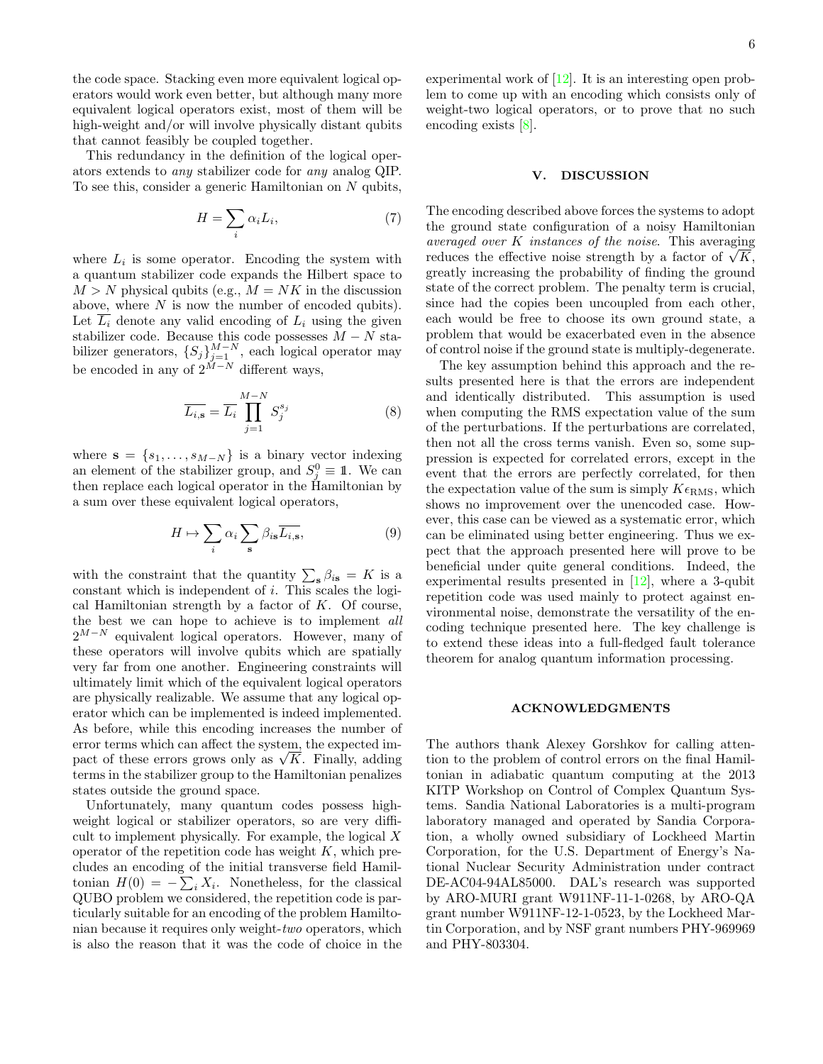the code space. Stacking even more equivalent logical operators would work even better, but although many more equivalent logical operators exist, most of them will be high-weight and/or will involve physically distant qubits that cannot feasibly be coupled together.

This redundancy in the definition of the logical operators extends to any stabilizer code for any analog QIP. To see this, consider a generic Hamiltonian on N qubits,

$$
H = \sum_{i} \alpha_i L_i,\tag{7}
$$

where  $L_i$  is some operator. Encoding the system with a quantum stabilizer code expands the Hilbert space to  $M > N$  physical qubits (e.g.,  $M = NK$  in the discussion above, where  $N$  is now the number of encoded qubits). Let  $L_i$  denote any valid encoding of  $L_i$  using the given stabilizer code. Because this code possesses  $M - N$  stabilizer generators,  $\{S_j\}_{j=1}^{M-N}$ , each logical operator may be encoded in any of  $2^{M-N}$  different ways,

$$
\overline{L_{i,\mathbf{s}}} = \overline{L_i} \prod_{j=1}^{M-N} S_j^{s_j} \tag{8}
$$

where  $\mathbf{s} = \{s_1, \ldots, s_{M-N}\}\$ is a binary vector indexing an element of the stabilizer group, and  $S_j^0 \equiv \mathbb{1}$ . We can then replace each logical operator in the Hamiltonian by a sum over these equivalent logical operators,

$$
H \mapsto \sum_{i} \alpha_i \sum_{\mathbf{s}} \beta_{i\mathbf{s}} \overline{L_{i,\mathbf{s}}},\tag{9}
$$

with the constraint that the quantity  $\sum_{s} \beta_{is} = K$  is a constant which is independent of i. This scales the logical Hamiltonian strength by a factor of  $K$ . Of course, the best we can hope to achieve is to implement all  $2^{M-N}$  equivalent logical operators. However, many of these operators will involve qubits which are spatially very far from one another. Engineering constraints will ultimately limit which of the equivalent logical operators are physically realizable. We assume that any logical operator which can be implemented is indeed implemented. As before, while this encoding increases the number of error terms which can affect the system, the expected imerror terms which can affect the system, the expected im-<br>pact of these errors grows only as  $\sqrt{K}$ . Finally, adding terms in the stabilizer group to the Hamiltonian penalizes states outside the ground space.

Unfortunately, many quantum codes possess highweight logical or stabilizer operators, so are very difficult to implement physically. For example, the logical X operator of the repetition code has weight K, which precludes an encoding of the initial transverse field Hamiltonian  $H(0) = -\sum_i X_i$ . Nonetheless, for the classical QUBO problem we considered, the repetition code is particularly suitable for an encoding of the problem Hamiltonian because it requires only weight-two operators, which is also the reason that it was the code of choice in the experimental work of  $[12]$ . It is an interesting open problem to come up with an encoding which consists only of weight-two logical operators, or to prove that no such encoding exists [\[8\]](#page-6-7).

# <span id="page-5-0"></span>V. DISCUSSION

The encoding described above forces the systems to adopt the ground state configuration of a noisy Hamiltonian averaged over K instances of the noise. This averaging averaged over K instances of the noise. This averaging<br>reduces the effective noise strength by a factor of  $\sqrt{K}$ , greatly increasing the probability of finding the ground state of the correct problem. The penalty term is crucial, since had the copies been uncoupled from each other, each would be free to choose its own ground state, a problem that would be exacerbated even in the absence of control noise if the ground state is multiply-degenerate.

The key assumption behind this approach and the results presented here is that the errors are independent and identically distributed. This assumption is used when computing the RMS expectation value of the sum of the perturbations. If the perturbations are correlated, then not all the cross terms vanish. Even so, some suppression is expected for correlated errors, except in the event that the errors are perfectly correlated, for then the expectation value of the sum is simply  $K\epsilon_{\rm RMS}$ , which shows no improvement over the unencoded case. However, this case can be viewed as a systematic error, which can be eliminated using better engineering. Thus we expect that the approach presented here will prove to be beneficial under quite general conditions. Indeed, the experimental results presented in [\[12\]](#page-6-11), where a 3-qubit repetition code was used mainly to protect against environmental noise, demonstrate the versatility of the encoding technique presented here. The key challenge is to extend these ideas into a full-fledged fault tolerance theorem for analog quantum information processing.

## ACKNOWLEDGMENTS

The authors thank Alexey Gorshkov for calling attention to the problem of control errors on the final Hamiltonian in adiabatic quantum computing at the 2013 KITP Workshop on Control of Complex Quantum Systems. Sandia National Laboratories is a multi-program laboratory managed and operated by Sandia Corporation, a wholly owned subsidiary of Lockheed Martin Corporation, for the U.S. Department of Energy's National Nuclear Security Administration under contract DE-AC04-94AL85000. DAL's research was supported by ARO-MURI grant W911NF-11-1-0268, by ARO-QA grant number W911NF-12-1-0523, by the Lockheed Martin Corporation, and by NSF grant numbers PHY-969969 and PHY-803304.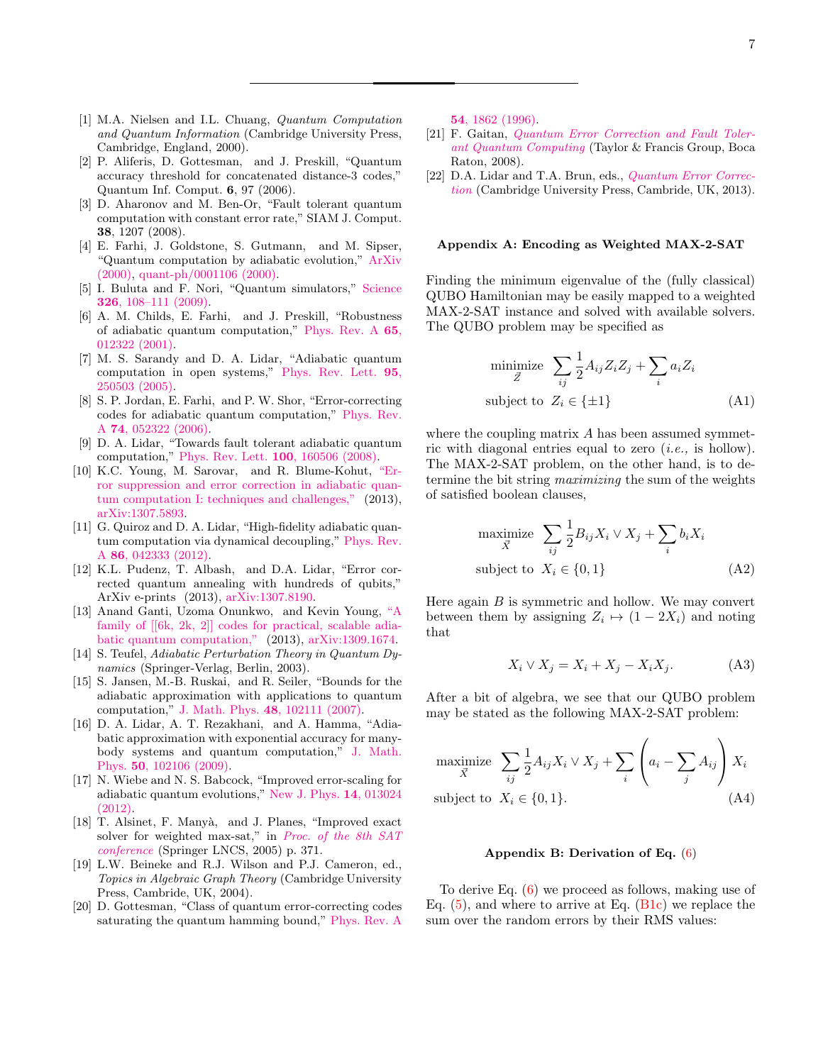- <span id="page-6-0"></span>[1] M.A. Nielsen and I.L. Chuang, Quantum Computation and Quantum Information (Cambridge University Press, Cambridge, England, 2000).
- <span id="page-6-1"></span>[2] P. Aliferis, D. Gottesman, and J. Preskill, "Quantum accuracy threshold for concatenated distance-3 codes," Quantum Inf. Comput. 6, 97 (2006).
- <span id="page-6-2"></span>[3] D. Aharonov and M. Ben-Or, "Fault tolerant quantum computation with constant error rate," SIAM J. Comput. 38, 1207 (2008).
- <span id="page-6-3"></span>[4] E. Farhi, J. Goldstone, S. Gutmann, and M. Sipser, "Quantum computation by adiabatic evolution," [ArXiv](http://arxiv.org/abs/quant-ph/0001106) [\(2000\),](http://arxiv.org/abs/quant-ph/0001106) [quant-ph/0001106 \(2000\).](http://arxiv.org/abs/quant-ph/0001106 (2000))
- <span id="page-6-4"></span>[5] I. Buluta and F. Nori, "Quantum simulators," [Science](http://www.sciencemag.org/content/326/5949/108.abstract N2 - Quantum simulators are controllable quantum systems that can be used to simulate other quantum systems. Being able to tackle problems that are intractable on classical computers, quantum simulators would provide a means of exploring new physical phenomena. We present an overview of how quantum simulators may become a reality in the near future as the required technologies are now within reach. Quantum simulators, relying on the coherent control of neutral atoms, ions, photons, or electrons, would allow studying problems in various fields including condensed-matter physics, high-energy physics, cosmology, atomic physics, and quantum chemistry.) 326[, 108–111 \(2009\).](http://www.sciencemag.org/content/326/5949/108.abstract N2 - Quantum simulators are controllable quantum systems that can be used to simulate other quantum systems. Being able to tackle problems that are intractable on classical computers, quantum simulators would provide a means of exploring new physical phenomena. We present an overview of how quantum simulators may become a reality in the near future as the required technologies are now within reach. Quantum simulators, relying on the coherent control of neutral atoms, ions, photons, or electrons, would allow studying problems in various fields including condensed-matter physics, high-energy physics, cosmology, atomic physics, and quantum chemistry.)
- <span id="page-6-5"></span>[6] A. M. Childs, E. Farhi, and J. Preskill, "Robustness of adiabatic quantum computation," [Phys. Rev. A](http://dx.doi.org/10.1103/PhysRevA.65.012322) 65, [012322 \(2001\).](http://dx.doi.org/10.1103/PhysRevA.65.012322)
- <span id="page-6-6"></span>[7] M. S. Sarandy and D. A. Lidar, "Adiabatic quantum computation in open systems," [Phys. Rev. Lett.](http://dx.doi.org/ 10.1103/PhysRevLett.95.250503) 95, [250503 \(2005\).](http://dx.doi.org/ 10.1103/PhysRevLett.95.250503)
- <span id="page-6-7"></span>[8] S. P. Jordan, E. Farhi, and P. W. Shor, "Error-correcting codes for adiabatic quantum computation," [Phys. Rev.](http://link.aps.org/doi/10.1103/PhysRevA.74.052322) A 74[, 052322 \(2006\).](http://link.aps.org/doi/10.1103/PhysRevA.74.052322)
- <span id="page-6-8"></span>[9] D. A. Lidar, "Towards fault tolerant adiabatic quantum computation," [Phys. Rev. Lett.](http://link.aps.org/doi/10.1103/PhysRevLett.100.160506) 100, 160506 (2008).
- <span id="page-6-9"></span>[10] K.C. Young, M. Sarovar, and R. Blume-Kohut, ["Er](http://arxiv.org/abs/1307.5893)[ror suppression and error correction in adiabatic quan](http://arxiv.org/abs/1307.5893)[tum computation I: techniques and challenges,"](http://arxiv.org/abs/1307.5893) (2013), [arXiv:1307.5893.](http://arxiv.org/abs/arXiv:1307.5893)
- [11] G. Quiroz and D. A. Lidar, "High-fidelity adiabatic quantum computation via dynamical decoupling," [Phys. Rev.](http://dx.doi.org/ 10.1103/PhysRevA.86.042333) A 86[, 042333 \(2012\).](http://dx.doi.org/ 10.1103/PhysRevA.86.042333)
- <span id="page-6-11"></span>[12] K.L. Pudenz, T. Albash, and D.A. Lidar, "Error corrected quantum annealing with hundreds of qubits," ArXiv e-prints (2013), [arXiv:1307.8190.](http://arxiv.org/abs/1307.8190)
- <span id="page-6-10"></span>[13] Anand Ganti, Uzoma Onunkwo, and Kevin Young, ["A](http://arxiv.org/abs/1309.1674) [family of \[\[6k, 2k, 2\]\] codes for practical, scalable adia](http://arxiv.org/abs/1309.1674)[batic quantum computation,"](http://arxiv.org/abs/1309.1674) (2013), [arXiv:1309.1674.](http://arxiv.org/abs/arXiv:1309.1674)
- <span id="page-6-12"></span>[14] S. Teufel, Adiabatic Perturbation Theory in Quantum Dynamics (Springer-Verlag, Berlin, 2003).
- [15] S. Jansen, M.-B. Ruskai, and R. Seiler, "Bounds for the adiabatic approximation with applications to quantum computation," J. Math. Phys. 48[, 102111 \(2007\).](http://dx.doi.org/ doi:10.1063/1.2798382)
- [16] D. A. Lidar, A. T. Rezakhani, and A. Hamma, "Adiabatic approximation with exponential accuracy for manybody systems and quantum computation," [J. Math.](http://dx.doi.org/10.1063/1.3236685) Phys. 50[, 102106 \(2009\).](http://dx.doi.org/10.1063/1.3236685)
- <span id="page-6-13"></span>[17] N. Wiebe and N. S. Babcock, "Improved error-scaling for adiabatic quantum evolutions," [New J. Phys.](http://dx.doi.org/ 10.1088/1367-2630/14/1/013024) 14, 013024 [\(2012\).](http://dx.doi.org/ 10.1088/1367-2630/14/1/013024)
- <span id="page-6-15"></span>[18] T. Alsinet, F. Manyà, and J. Planes, "Improved exact" solver for weighted max-sat," in [Proc. of the 8th SAT](http://citeseerx.ist.psu.edu/viewdoc/summary?doi=10.1.1.77.6485) [conference](http://citeseerx.ist.psu.edu/viewdoc/summary?doi=10.1.1.77.6485) (Springer LNCS, 2005) p. 371.
- <span id="page-6-16"></span>[19] L.W. Beineke and R.J. Wilson and P.J. Cameron, ed., Topics in Algebraic Graph Theory (Cambridge University Press, Cambride, UK, 2004).
- <span id="page-6-18"></span>[20] D. Gottesman, "Class of quantum error-correcting codes saturating the quantum hamming bound," [Phys. Rev. A](http://dx.doi.org/10.1103/PhysRevA.54.1862)

54[, 1862 \(1996\).](http://dx.doi.org/10.1103/PhysRevA.54.1862)

- [21] F. Gaitan, [Quantum Error Correction and Fault Toler](http://books.google.com/books?id=zwvlqspyOK8C)[ant Quantum Computing](http://books.google.com/books?id=zwvlqspyOK8C) (Taylor & Francis Group, Boca Raton, 2008).
- <span id="page-6-19"></span>[22] D.A. Lidar and T.A. Brun, eds., *Quantum Error Correc*[tion](http://www.cambridge.org/9780521897877) (Cambridge University Press, Cambride, UK, 2013).

### <span id="page-6-14"></span>Appendix A: Encoding as Weighted MAX-2-SAT

Finding the minimum eigenvalue of the (fully classical) QUBO Hamiltonian may be easily mapped to a weighted MAX-2-SAT instance and solved with available solvers. The QUBO problem may be specified as

$$
\begin{aligned}\n\text{minimize} & \sum_{ij} \frac{1}{2} A_{ij} Z_i Z_j + \sum_i a_i Z_i \\
\text{subject to} & Z_i \in \{\pm 1\} \tag{A1}\n\end{aligned}
$$

where the coupling matrix A has been assumed symmetric with diagonal entries equal to zero (i.e., is hollow). The MAX-2-SAT problem, on the other hand, is to determine the bit string maximizing the sum of the weights of satisfied boolean clauses,

$$
\begin{aligned}\n\text{maximize} & \sum_{ij} \frac{1}{2} B_{ij} X_i \vee X_j + \sum_i b_i X_i \\
\text{subject to} & X_i \in \{0, 1\} \tag{A2}\n\end{aligned}
$$

Here again  $B$  is symmetric and hollow. We may convert between them by assigning  $Z_i \mapsto (1 - 2X_i)$  and noting that

$$
X_i \vee X_j = X_i + X_j - X_i X_j. \tag{A3}
$$

After a bit of algebra, we see that our QUBO problem may be stated as the following MAX-2-SAT problem:

maximize 
$$
\sum_{ij} \frac{1}{2} A_{ij} X_i \vee X_j + \sum_i \left( a_i - \sum_j A_{ij} \right) X_i
$$
  
subject to  $X_i \in \{0, 1\}.$  (A4)

### <span id="page-6-17"></span>Appendix B: Derivation of Eq.  $(6)$

To derive Eq. [\(6\)](#page-3-1) we proceed as follows, making use of Eq.  $(5)$ , and where to arrive at Eq.  $(B1c)$  we replace the sum over the random errors by their RMS values: